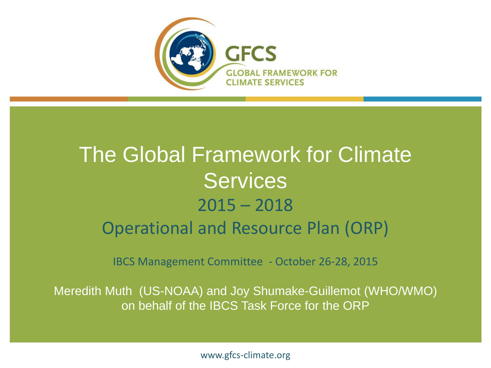

#### The Global Framework for Climate **Services** 2015 – 2018 Operational and Resource Plan (ORP)

IBCS Management Committee - October 26-28, 2015

Meredith Muth (US-NOAA) and Joy Shumake-Guillemot (WHO/WMO) on behalf of the IBCS Task Force for the ORP

www.gfcs-climate.org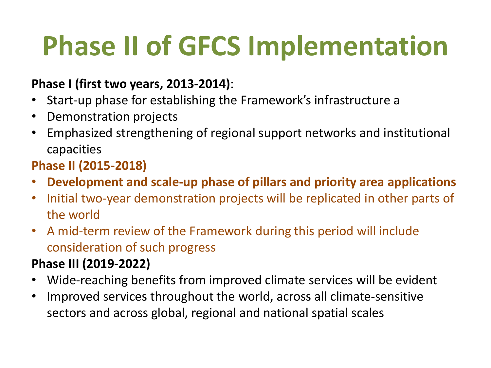# **Phase II of GFCS Implementation**

#### **Phase I (first two years, 2013-2014)**:

- Start-up phase for establishing the Framework's infrastructure a
- Demonstration projects
- Emphasized strengthening of regional support networks and institutional capacities

#### **Phase II (2015-2018)**

- **Development and scale-up phase of pillars and priority area applications**
- Initial two-year demonstration projects will be replicated in other parts of the world
- A mid-term review of the Framework during this period will include consideration of such progress

#### **Phase III (2019-2022)**

- Wide-reaching benefits from improved climate services will be evident
- Improved services throughout the world, across all climate-sensitive sectors and across global, regional and national spatial scales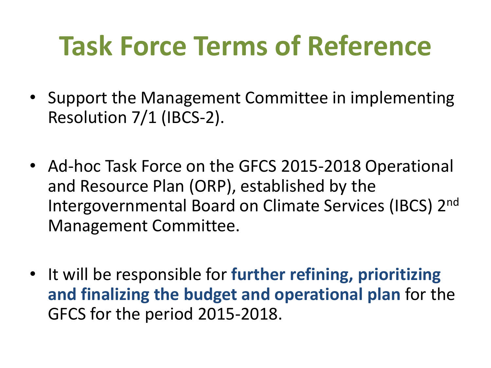## **Task Force Terms of Reference**

- Support the Management Committee in implementing Resolution 7/1 (IBCS-2).
- Ad-hoc Task Force on the GFCS 2015-2018 Operational and Resource Plan (ORP), established by the Intergovernmental Board on Climate Services (IBCS) 2nd Management Committee.
- It will be responsible for **further refining, prioritizing and finalizing the budget and operational plan** for the GFCS for the period 2015-2018.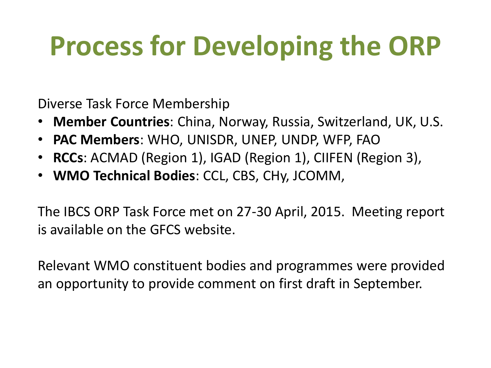## **Process for Developing the ORP**

Diverse Task Force Membership

- **Member Countries**: China, Norway, Russia, Switzerland, UK, U.S.
- **PAC Members**: WHO, UNISDR, UNEP, UNDP, WFP, FAO
- **RCCs**: ACMAD (Region 1), IGAD (Region 1), CIIFEN (Region 3),
- **WMO Technical Bodies**: CCL, CBS, CHy, JCOMM,

The IBCS ORP Task Force met on 27-30 April, 2015. Meeting report is available on the GFCS website.

Relevant WMO constituent bodies and programmes were provided an opportunity to provide comment on first draft in September.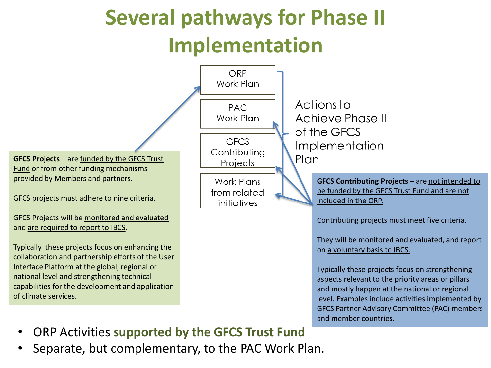#### **Several pathways for Phase II Implementation**



- ORP Activities **supported by the GFCS Trust Fund**
- Separate, but complementary, to the PAC Work Plan.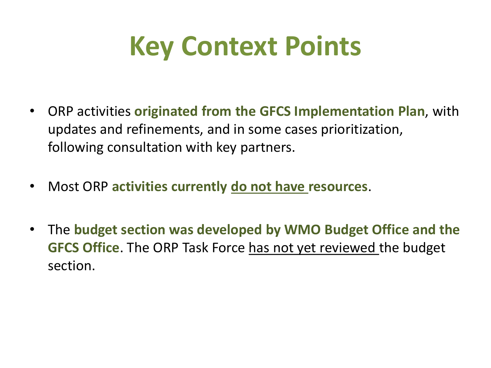### **Key Context Points**

- ORP activities **originated from the GFCS Implementation Plan**, with updates and refinements, and in some cases prioritization, following consultation with key partners.
- Most ORP **activities currently do not have resources**.
- The **budget section was developed by WMO Budget Office and the GFCS Office**. The ORP Task Force has not yet reviewed the budget section.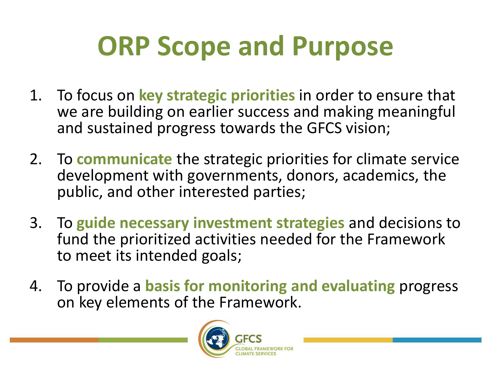## **ORP Scope and Purpose**

- 1. To focus on **key strategic priorities** in order to ensure that we are building on earlier success and making meaningful and sustained progress towards the GFCS vision;
- 2. To **communicate** the strategic priorities for climate service development with governments, donors, academics, the public, and other interested parties;
- 3. To **guide necessary investment strategies** and decisions to fund the prioritized activities needed for the Framework to meet its intended goals;
- 4. To provide a **basis for monitoring and evaluating** progress on key elements of the Framework.

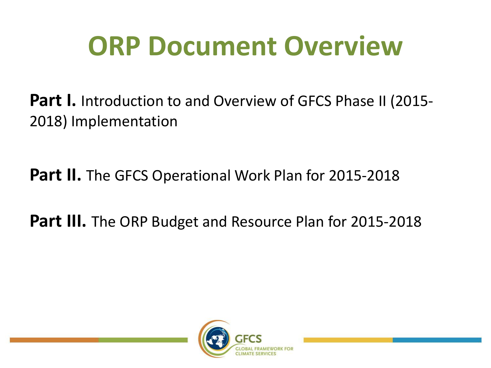### **ORP Document Overview**

Part I. Introduction to and Overview of GFCS Phase II (2015-2018) Implementation

**Part II.** The GFCS Operational Work Plan for 2015-2018

**Part III.** The ORP Budget and Resource Plan for 2015-2018

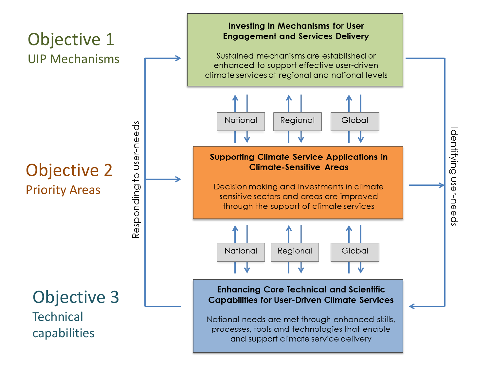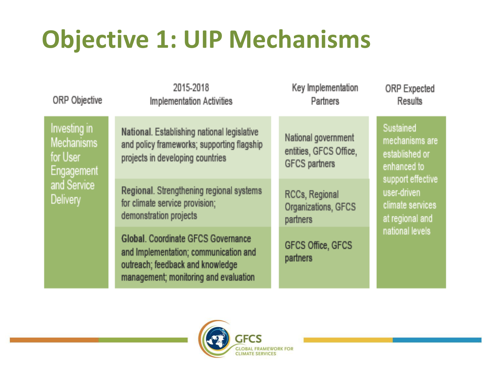### **Objective 1: UIP Mechanisms**

ORP Objective

2015-2018 **Implementation Activities**  Key Implementation **Partners** 

**ORP Expected Results** 

Investing in **Mechanisms** for User Engagement and Service **Delivery** 

National. Establishing national legislative and policy frameworks; supporting flagship projects in developing countries

Regional. Strengthening regional systems for climate service provision; demonstration projects

Global, Coordinate GECS Governance and Implementation; communication and outreach; feedback and knowledge management; monitoring and evaluation

National government entities, GFCS Office, **GFCS** partners

RCCs, Regional Organizations, GFCS partners

GFCS Office, GFCS partners

Sustained mechanisms are established or enhanced to support effective user-driven climate services at regional and national levels

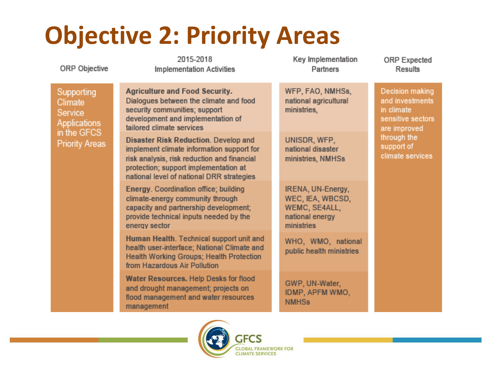### **Objective 2: Priority Areas**

ORP Objective

Supporting **Climate** Service Applications in the GFCS **Priority Areas** 

2015-2018 **Implementation Activities** 

Dialogues between the climate and food

**Disaster Risk Reduction, Develop and** 

implement climate information support for

risk analysis, risk reduction and financial

protection; support implementation at national level of national DRR strategies Energy. Coordination office; building

climate-energy community through

from Hazardous Air Pollution

capacity and partnership development;

provide technical inputs needed by the

Human Health. Technical support unit and

health user-interface; National Climate and

Health Working Groups; Health Protection

development and implementation of

**Agriculture and Food Security.** 

security communities; support

tailored climate services

energy sector

management

Key Implementation **Partners** 

WFP, FAO, NMHSs, national agricultural ministries,

UNISDR, WFP. national disaster ministries, NMHSs

IRENA, UN-Energy, WEC. IEA, WBCSD. WEMC, SE4ALL, national energy ministries

WHO, WMO, national public health ministries

GWP, UN-Water, IDMP, APFM WMO, NMH<sub>Ss</sub>

**ORP** Expected Results

Decision making and investments in climate sensitive sectors are improved through the support of climate services



*<u>LOBAL FRAMEWORK FOR</u>* LIMATE SERVICES

**CECS**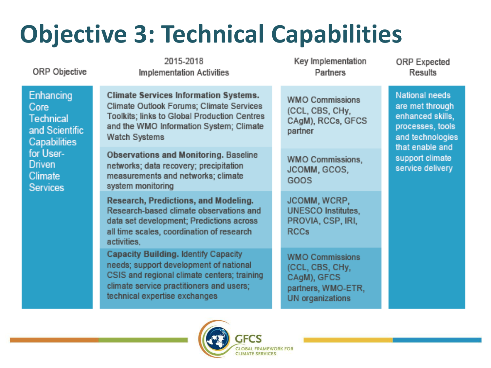### **Objective 3: Technical Capabilities**

**ORP** Objective

2015-2018 **Implementation Activities** 

**Climate Services Information Systems.** 

**Climate Outlook Forums: Climate Services** 

Toolkits; links to Global Production Centres

and the WMO Information System; Climate

**Observations and Monitoring. Baseline** 

Research, Predictions, and Modeling, Research-based climate observations and

data set development; Predictions across

all time scales, coordination of research

Capacity Building. Identify Capacity

needs; support development of national

climate service practitioners and users;

technical expertise exchanges

CSIS and regional climate centers; training

networks; data recovery; precipitation

measurements and networks; climate

**Watch Systems** 

system monitoring

activities.

Key Implementation **Partners** 

**WMO Commissions** (CCL. CBS. CHv. CAaM), RCCs, GFCS partner

**WMO Commissions.** JCOMM, GCOS, GOOS

JCOMM, WCRP. **UNESCO Institutes.** PROVIA, CSP, IRI, **RCCs** 

**WMO Commissions** (CCL, CBS, CHy, CAgM), GFCS partners, WMO-ETR, **UN** organizations

**ORP** Expected **Results** 

**National needs** are met through enhanced skills. processes, tools and technologies that enable and support climate service delivery

Enhancing Core Technical and Scientific Capabilities for User-**Driven** Climate **Services** 

**LIMATE SERVICES**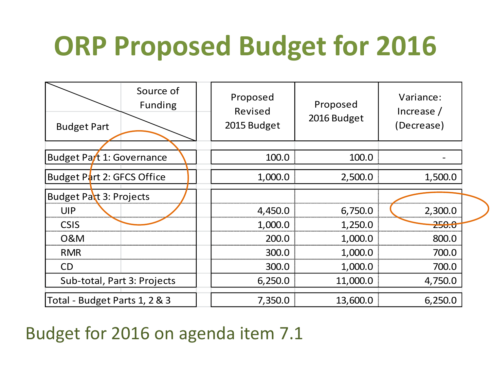# **ORP Proposed Budget for 2016**

| <b>Budget Part</b>            | Source of<br><b>Funding</b> | Proposed<br>Revised<br>2015 Budget | Proposed<br>2016 Budget | Variance:<br>Increase $/$<br>(Decrease) |
|-------------------------------|-----------------------------|------------------------------------|-------------------------|-----------------------------------------|
|                               |                             |                                    |                         |                                         |
| Budget Part 1: Governance     |                             | 100.0                              | 100.0                   |                                         |
| Budget Part 2: GFCS Office    |                             | 1,000.0                            | 2,500.0                 | 1,500.0                                 |
| Budget Part 3: Projects       |                             |                                    |                         |                                         |
| UIP                           |                             | 4,450.0                            | 6,750.0                 | 2,300.0                                 |
| <b>CSIS</b>                   |                             | 1,000.0                            | 1,250.0                 | <del>250.0</del>                        |
| <b>O&amp;M</b>                |                             | 200.0                              | 1,000.0                 | 800.0                                   |
| <b>RMR</b>                    |                             | 300.0                              | 1,000.0                 | 700.0                                   |
| <b>CD</b>                     |                             | 300.0                              | 1,000.0                 | 700.0                                   |
| Sub-total, Part 3: Projects   |                             | 6,250.0                            | 11,000.0                | 4,750.0                                 |
| Total - Budget Parts 1, 2 & 3 |                             | 7,350.0                            | 13,600.0                | 6,250.0                                 |

#### Budget for 2016 on agenda item 7.1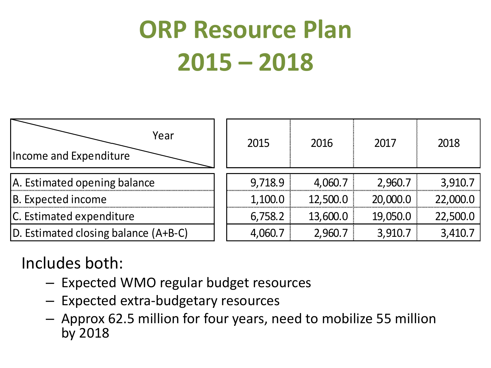### **ORP Resource Plan 2015 – 2018**



#### Includes both:

- Expected WMO regular budget resources
- Expected extra-budgetary resources
- Approx 62.5 million for four years, need to mobilize 55 million by 2018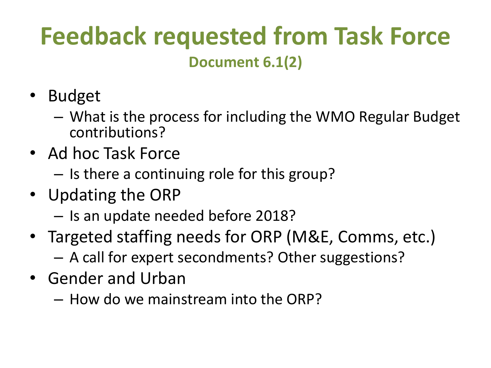#### **Feedback requested from Task Force Document 6.1(2)**

- Budget
	- What is the process for including the WMO Regular Budget contributions?
- Ad hoc Task Force
	- Is there a continuing role for this group?
- Updating the ORP
	- Is an update needed before 2018?
- Targeted staffing needs for ORP (M&E, Comms, etc.) – A call for expert secondments? Other suggestions?
- Gender and Urban
	- How do we mainstream into the ORP?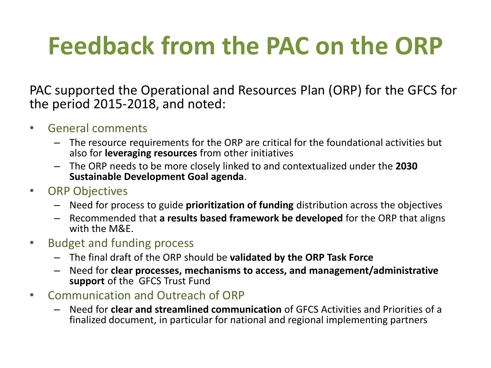#### **Feedback from the PAC on the ORP**

PAC supported the Operational and Resources Plan (ORP) for the GFCS for the period 2015-2018, and noted:

- General comments
	- The resource requirements for the ORP are critical for the foundational activities but also for **leveraging resources** from other initiatives
	- The ORP needs to be more closely linked to and contextualized under the **2030 Sustainable Development Goal agenda**.
- ORP Objectives
	- Need for process to guide **prioritization of funding** distribution across the objectives
	- Recommended that **a results based framework be developed** for the ORP that aligns with the M&E.
- Budget and funding process
	- The final draft of the ORP should be **validated by the ORP Task Force**
	- Need for **clear processes, mechanisms to access, and management/administrative support** of the GFCS Trust Fund
- Communication and Outreach of ORP
	- Need for **clear and streamlined communication** of GFCS Activities and Priorities of a finalized document, in particular for national and regional implementing partners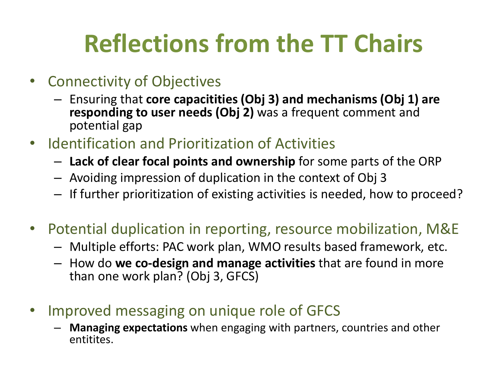### **Reflections from the TT Chairs**

- Connectivity of Objectives
	- Ensuring that **core capacitities (Obj 3) and mechanisms (Obj 1) are responding to user needs (Obj 2)** was a frequent comment and potential gap
- Identification and Prioritization of Activities
	- **Lack of clear focal points and ownership** for some parts of the ORP
	- Avoiding impression of duplication in the context of Obj 3
	- If further prioritization of existing activities is needed, how to proceed?
- Potential duplication in reporting, resource mobilization, M&E
	- Multiple efforts: PAC work plan, WMO results based framework, etc.
	- How do **we co-design and manage activities** that are found in more than one work plan? (Obj 3, GFCS)
- Improved messaging on unique role of GFCS
	- **Managing expectations** when engaging with partners, countries and other entitites.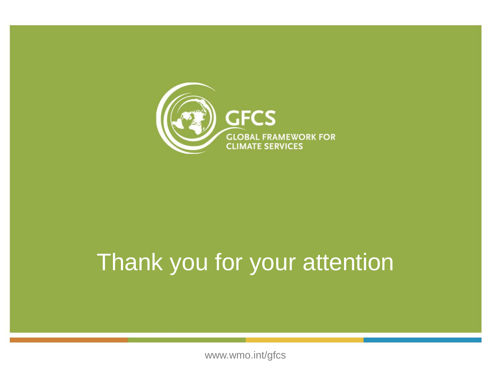

#### Thank you for your attention

www.wmo.int/gfcs